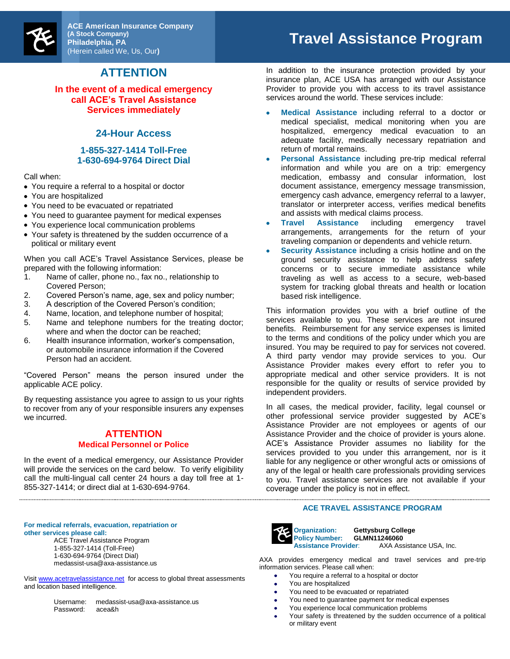

**ACE American Insurance Company (A Stock Company) Philadelphia, PA**  (Herein called We, Us, Our**)**

## **ATTENTION**

**In the event of a medical emergency call ACE's Travel Assistance Services immediately**

### **24-Hour Access**

#### **1-855-327-1414 Toll-Free 1-630-694-9764 Direct Dial**

Call when:

- You require a referral to a hospital or doctor
- You are hospitalized
- You need to be evacuated or repatriated
- You need to guarantee payment for medical expenses
- You experience local communication problems
- Your safety is threatened by the sudden occurrence of a political or military event

When you call ACE's Travel Assistance Services, please be prepared with the following information:

- 1. Name of caller, phone no., fax no., relationship to Covered Person;
- 2. Covered Person's name, age, sex and policy number;
- 3. A description of the Covered Person's condition;
- Name, location, and telephone number of hospital;
- 5. Name and telephone numbers for the treating doctor; where and when the doctor can be reached;
- 6. Health insurance information, worker's compensation, or automobile insurance information if the Covered Person had an accident.

"Covered Person" means the person insured under the applicable ACE policy.

By requesting assistance you agree to assign to us your rights to recover from any of your responsible insurers any expenses we incurred.

#### **ATTENTION Medical Personnel or Police**

In the event of a medical emergency, our Assistance Provider will provide the services on the card below. To verify eligibility call the multi-lingual call center 24 hours a day toll free at 1- 855-327-1414; or direct dial at 1-630-694-9764.

# **Travel Assistance Program**

In addition to the insurance protection provided by your insurance plan, ACE USA has arranged with our Assistance Provider to provide you with access to its travel assistance services around the world. These services include:

- **Medical Assistance** including referral to a doctor or medical specialist, medical monitoring when you are hospitalized, emergency medical evacuation to an adequate facility, medically necessary repatriation and return of mortal remains.
- $\bullet$ **Personal Assistance** including pre-trip medical referral information and while you are on a trip: emergency medication, embassy and consular information, lost document assistance, emergency message transmission, emergency cash advance, emergency referral to a lawyer, translator or interpreter access, verifies medical benefits and assists with medical claims process.
- **Travel Assistance** including emergency travel arrangements, arrangements for the return of your traveling companion or dependents and vehicle return.
- **Security Assistance** including a crisis hotline and on the ground security assistance to help address safety concerns or to secure immediate assistance while traveling as well as access to a secure, web-based system for tracking global threats and health or location based risk intelligence.

This information provides you with a brief outline of the services available to you. These services are not insured benefits. Reimbursement for any service expenses is limited to the terms and conditions of the policy under which you are insured. You may be required to pay for services not covered. A third party vendor may provide services to you. Our Assistance Provider makes every effort to refer you to appropriate medical and other service providers. It is not responsible for the quality or results of service provided by independent providers.

In all cases, the medical provider, facility, legal counsel or other professional service provider suggested by ACE's Assistance Provider are not employees or agents of our Assistance Provider and the choice of provider is yours alone. ACE's Assistance Provider assumes no liability for the services provided to you under this arrangement, nor is it liable for any negligence or other wrongful acts or omissions of any of the legal or health care professionals providing services to you. Travel assistance services are not available if your coverage under the policy is not in effect.

#### **ACE TRAVEL ASSISTANCE PROGRAM**



**Organization: Gettysburg College Policy Number: <b>GLMN11246060**<br>**Assistance Provider:** AXA Ass **AXA Assistance USA, Inc.** 

AXA provides emergency medical and travel services and pre-trip information services. Please call when:

- You require a referral to a hospital or doctor  $\bullet$
- You are hospitalized  $\bullet$
- You need to be evacuated or repatriated  $\bullet$ 
	- You need to guarantee payment for medical expenses
	- You experience local communication problems
	- Your safety is threatened by the sudden occurrence of a political or military event

**For medical referrals, evacuation, repatriation or other services please call:** ACE Travel Assistance Program 1-855-327-1414 (Toll-Free)

1-630-694-9764 (Direct Dial) medassist-usa@axa-assistance.us

Visit [www.acetravelassistance.net](http://www.acetravelassistance.net/) for access to global threat assessments and location based intelligence.

| Username: | medassist-usa@axa-assistance.us |
|-----------|---------------------------------|
| Password: | acea&h                          |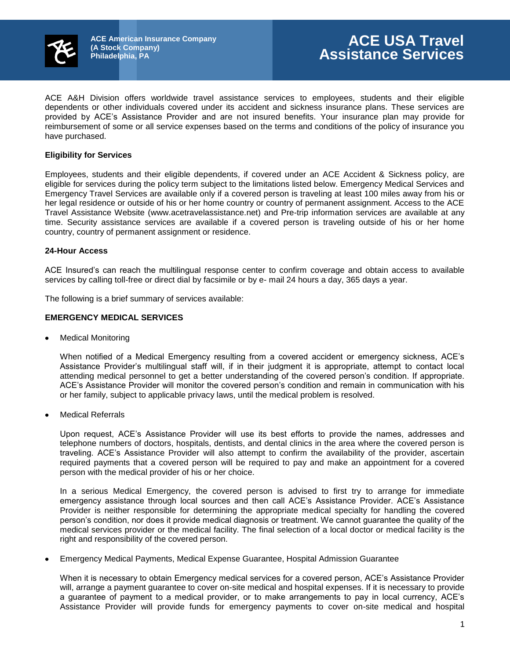

ACE A&H Division offers worldwide travel assistance services to employees, students and their eligible dependents or other individuals covered under its accident and sickness insurance plans. These services are provided by ACE's Assistance Provider and are not insured benefits. Your insurance plan may provide for reimbursement of some or all service expenses based on the terms and conditions of the policy of insurance you have purchased.

#### **Eligibility for Services**

Employees, students and their eligible dependents, if covered under an ACE Accident & Sickness policy, are eligible for services during the policy term subject to the limitations listed below. Emergency Medical Services and Emergency Travel Services are available only if a covered person is traveling at least 100 miles away from his or her legal residence or outside of his or her home country or country of permanent assignment. Access to the ACE Travel Assistance Website (www.acetravelassistance.net) and Pre-trip information services are available at any time. Security assistance services are available if a covered person is traveling outside of his or her home country, country of permanent assignment or residence.

#### **24-Hour Access**

ACE Insured's can reach the multilingual response center to confirm coverage and obtain access to available services by calling toll-free or direct dial by facsimile or by e- mail 24 hours a day, 365 days a year.

The following is a brief summary of services available:

#### **EMERGENCY MEDICAL SERVICES**

Medical Monitoring

When notified of a Medical Emergency resulting from a covered accident or emergency sickness, ACE's Assistance Provider's multilingual staff will, if in their judgment it is appropriate, attempt to contact local attending medical personnel to get a better understanding of the covered person's condition. If appropriate. ACE's Assistance Provider will monitor the covered person's condition and remain in communication with his or her family, subject to applicable privacy laws, until the medical problem is resolved.

Medical Referrals

Upon request, ACE's Assistance Provider will use its best efforts to provide the names, addresses and telephone numbers of doctors, hospitals, dentists, and dental clinics in the area where the covered person is traveling. ACE's Assistance Provider will also attempt to confirm the availability of the provider, ascertain required payments that a covered person will be required to pay and make an appointment for a covered person with the medical provider of his or her choice.

In a serious Medical Emergency, the covered person is advised to first try to arrange for immediate emergency assistance through local sources and then call ACE's Assistance Provider. ACE's Assistance Provider is neither responsible for determining the appropriate medical specialty for handling the covered person's condition, nor does it provide medical diagnosis or treatment. We cannot guarantee the quality of the medical services provider or the medical facility. The final selection of a local doctor or medical facility is the right and responsibility of the covered person.

Emergency Medical Payments, Medical Expense Guarantee, Hospital Admission Guarantee

When it is necessary to obtain Emergency medical services for a covered person, ACE's Assistance Provider will, arrange a payment guarantee to cover on-site medical and hospital expenses. If it is necessary to provide a guarantee of payment to a medical provider, or to make arrangements to pay in local currency, ACE's Assistance Provider will provide funds for emergency payments to cover on-site medical and hospital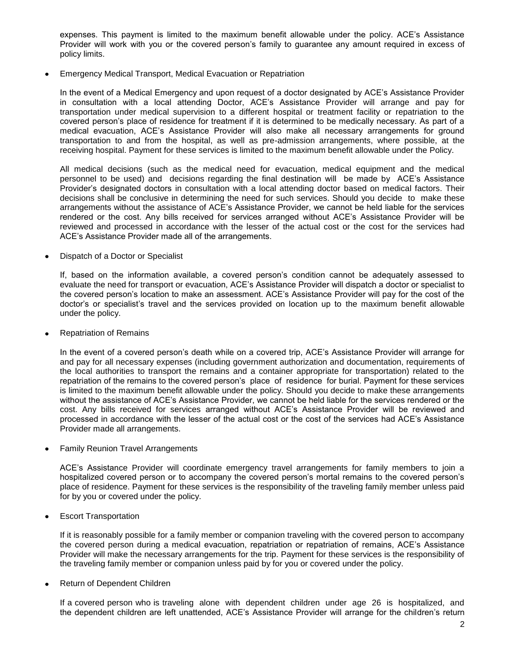expenses. This payment is limited to the maximum benefit allowable under the policy. ACE's Assistance Provider will work with you or the covered person's family to guarantee any amount required in excess of policy limits.

Emergency Medical Transport, Medical Evacuation or Repatriation

In the event of a Medical Emergency and upon request of a doctor designated by ACE's Assistance Provider in consultation with a local attending Doctor, ACE's Assistance Provider will arrange and pay for transportation under medical supervision to a different hospital or treatment facility or repatriation to the covered person's place of residence for treatment if it is determined to be medically necessary. As part of a medical evacuation, ACE's Assistance Provider will also make all necessary arrangements for ground transportation to and from the hospital, as well as pre-admission arrangements, where possible, at the receiving hospital. Payment for these services is limited to the maximum benefit allowable under the Policy.

All medical decisions (such as the medical need for evacuation, medical equipment and the medical personnel to be used) and decisions regarding the final destination will be made by ACE's Assistance Provider's designated doctors in consultation with a local attending doctor based on medical factors. Their decisions shall be conclusive in determining the need for such services. Should you decide to make these arrangements without the assistance of ACE's Assistance Provider, we cannot be held liable for the services rendered or the cost. Any bills received for services arranged without ACE's Assistance Provider will be reviewed and processed in accordance with the lesser of the actual cost or the cost for the services had ACE's Assistance Provider made all of the arrangements.

Dispatch of a Doctor or Specialist

If, based on the information available, a covered person's condition cannot be adequately assessed to evaluate the need for transport or evacuation, ACE's Assistance Provider will dispatch a doctor or specialist to the covered person's location to make an assessment. ACE's Assistance Provider will pay for the cost of the doctor's or specialist's travel and the services provided on location up to the maximum benefit allowable under the policy.

Repatriation of Remains

In the event of a covered person's death while on a covered trip, ACE's Assistance Provider will arrange for and pay for all necessary expenses (including government authorization and documentation, requirements of the local authorities to transport the remains and a container appropriate for transportation) related to the repatriation of the remains to the covered person's place of residence for burial. Payment for these services is limited to the maximum benefit allowable under the policy. Should you decide to make these arrangements without the assistance of ACE's Assistance Provider, we cannot be held liable for the services rendered or the cost. Any bills received for services arranged without ACE's Assistance Provider will be reviewed and processed in accordance with the lesser of the actual cost or the cost of the services had ACE's Assistance Provider made all arrangements.

Family Reunion Travel Arrangements

ACE's Assistance Provider will coordinate emergency travel arrangements for family members to join a hospitalized covered person or to accompany the covered person's mortal remains to the covered person's place of residence. Payment for these services is the responsibility of the traveling family member unless paid for by you or covered under the policy.

Escort Transportation

If it is reasonably possible for a family member or companion traveling with the covered person to accompany the covered person during a medical evacuation, repatriation or repatriation of remains, ACE's Assistance Provider will make the necessary arrangements for the trip. Payment for these services is the responsibility of the traveling family member or companion unless paid by for you or covered under the policy.

Return of Dependent Children

If a covered person who is traveling alone with dependent children under age 26 is hospitalized, and the dependent children are left unattended, ACE's Assistance Provider will arrange for the children's return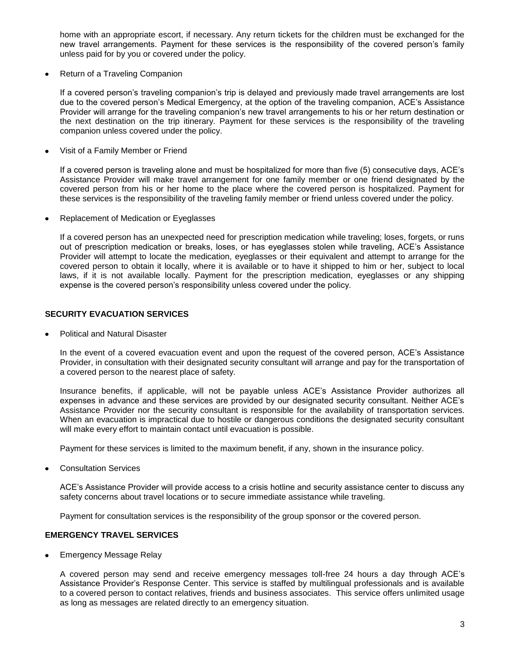home with an appropriate escort, if necessary. Any return tickets for the children must be exchanged for the new travel arrangements. Payment for these services is the responsibility of the covered person's family unless paid for by you or covered under the policy.

Return of a Traveling Companion

If a covered person's traveling companion's trip is delayed and previously made travel arrangements are lost due to the covered person's Medical Emergency, at the option of the traveling companion, ACE's Assistance Provider will arrange for the traveling companion's new travel arrangements to his or her return destination or the next destination on the trip itinerary. Payment for these services is the responsibility of the traveling companion unless covered under the policy.

Visit of a Family Member or Friend

If a covered person is traveling alone and must be hospitalized for more than five (5) consecutive days, ACE's Assistance Provider will make travel arrangement for one family member or one friend designated by the covered person from his or her home to the place where the covered person is hospitalized. Payment for these services is the responsibility of the traveling family member or friend unless covered under the policy.

Replacement of Medication or Eyeglasses

If a covered person has an unexpected need for prescription medication while traveling; loses, forgets, or runs out of prescription medication or breaks, loses, or has eyeglasses stolen while traveling, ACE's Assistance Provider will attempt to locate the medication, eyeglasses or their equivalent and attempt to arrange for the covered person to obtain it locally, where it is available or to have it shipped to him or her, subject to local laws, if it is not available locally. Payment for the prescription medication, eyeglasses or any shipping expense is the covered person's responsibility unless covered under the policy.

#### **SECURITY EVACUATION SERVICES**

Political and Natural Disaster

In the event of a covered evacuation event and upon the request of the covered person, ACE's Assistance Provider, in consultation with their designated security consultant will arrange and pay for the transportation of a covered person to the nearest place of safety.

Insurance benefits, if applicable, will not be payable unless ACE's Assistance Provider authorizes all expenses in advance and these services are provided by our designated security consultant. Neither ACE's Assistance Provider nor the security consultant is responsible for the availability of transportation services. When an evacuation is impractical due to hostile or dangerous conditions the designated security consultant will make every effort to maintain contact until evacuation is possible.

Payment for these services is limited to the maximum benefit, if any, shown in the insurance policy.

Consultation Services

ACE's Assistance Provider will provide access to a crisis hotline and security assistance center to discuss any safety concerns about travel locations or to secure immediate assistance while traveling.

Payment for consultation services is the responsibility of the group sponsor or the covered person.

#### **EMERGENCY TRAVEL SERVICES**

Emergency Message Relay

A covered person may send and receive emergency messages toll-free 24 hours a day through ACE's Assistance Provider's Response Center. This service is staffed by multilingual professionals and is available to a covered person to contact relatives, friends and business associates. This service offers unlimited usage as long as messages are related directly to an emergency situation.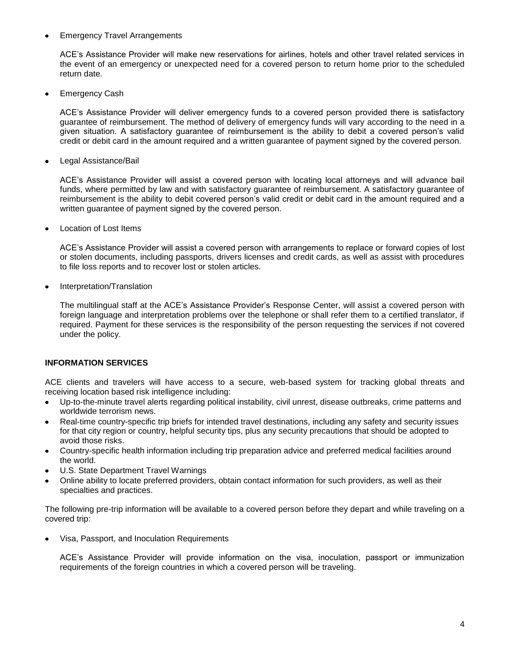#### Emergency Travel Arrangements

ACE's Assistance Provider will make new reservations for airlines, hotels and other travel related services in the event of an emergency or unexpected need for a covered person to return home prior to the scheduled return date.

Emergency Cash

ACE's Assistance Provider will deliver emergency funds to a covered person provided there is satisfactory guarantee of reimbursement. The method of delivery of emergency funds will vary according to the need in a given situation. A satisfactory guarantee of reimbursement is the ability to debit a covered person's valid credit or debit card in the amount required and a written guarantee of payment signed by the covered person.

Legal Assistance/Bail

ACE's Assistance Provider will assist a covered person with locating local attorneys and will advance bail funds, where permitted by law and with satisfactory guarantee of reimbursement. A satisfactory guarantee of reimbursement is the ability to debit covered person's valid credit or debit card in the amount required and a written guarantee of payment signed by the covered person.

Location of Lost Items

ACE's Assistance Provider will assist a covered person with arrangements to replace or forward copies of lost or stolen documents, including passports, drivers licenses and credit cards, as well as assist with procedures to file loss reports and to recover lost or stolen articles.

Interpretation/Translation

The multilingual staff at the ACE's Assistance Provider's Response Center, will assist a covered person with foreign language and interpretation problems over the telephone or shall refer them to a certified translator, if required. Payment for these services is the responsibility of the person requesting the services if not covered under the policy.

#### **INFORMATION SERVICES**

ACE clients and travelers will have access to a secure, web-based system for tracking global threats and receiving location based risk intelligence including:

- Up-to-the-minute travel alerts regarding political instability, civil unrest, disease outbreaks, crime patterns and worldwide terrorism news.
- Real-time country-specific trip briefs for intended travel destinations, including any safety and security issues for that city region or country, helpful security tips, plus any security precautions that should be adopted to avoid those risks.
- Country-specific health information including trip preparation advice and preferred medical facilities around  $\bullet$ the world.
- U.S. State Department Travel Warnings
- Online ability to locate preferred providers, obtain contact information for such providers, as well as their specialties and practices.

The following pre-trip information will be available to a covered person before they depart and while traveling on a covered trip:

Visa, Passport, and Inoculation Requirements

ACE's Assistance Provider will provide information on the visa, inoculation, passport or immunization requirements of the foreign countries in which a covered person will be traveling.